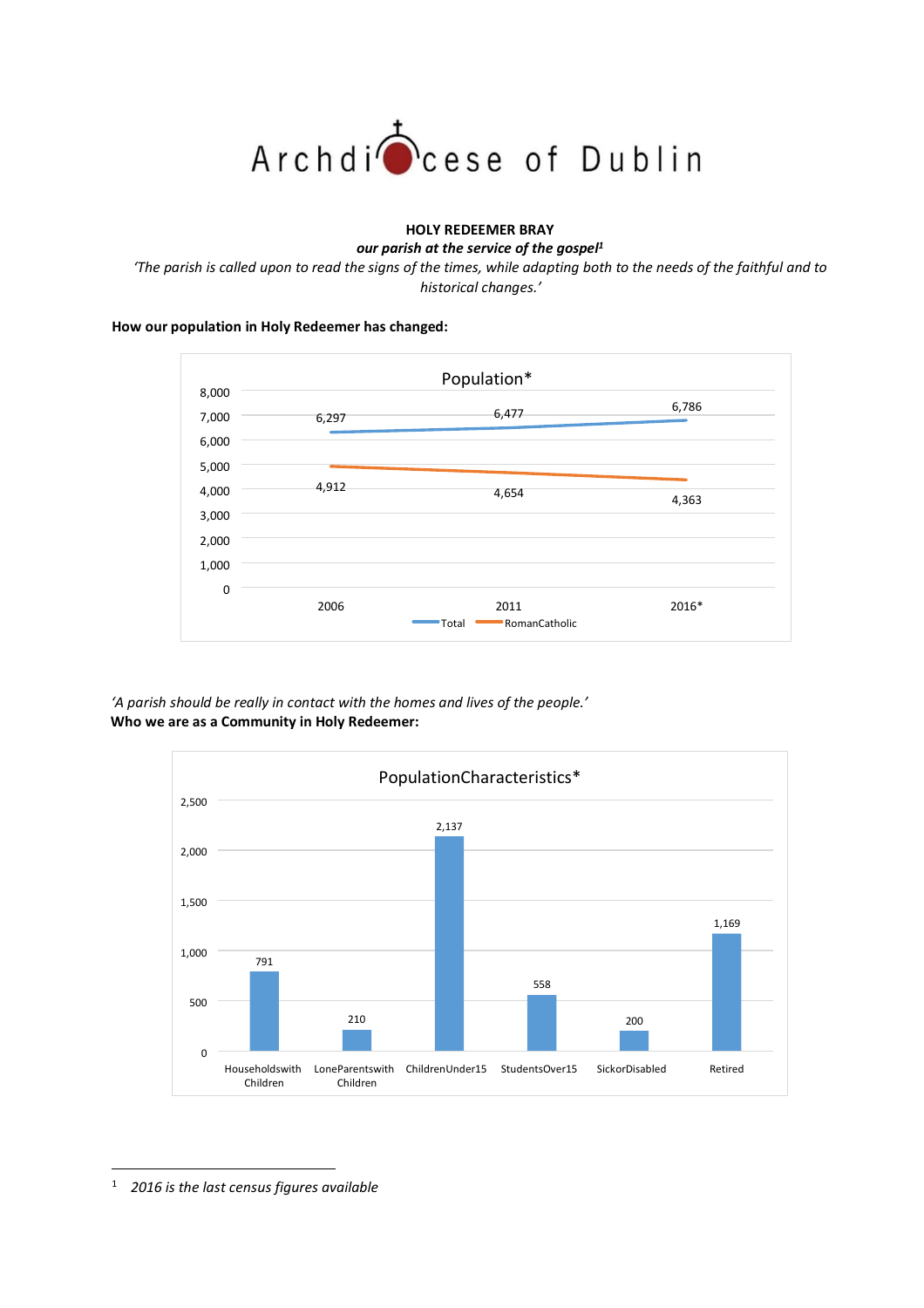

## **HOLY REDEEMER BRAY**

*our parish at the service of the gospel<sup>1</sup>*

'The parish is called upon to read the signs of the times, while adapting both to the needs of the faithful and to *historical changes.'*

## **How our population in Holy Redeemer has changed:**



*'A parish should be really in contact with the homes and lives of the people.'* **Who we are as a Community in Holy Redeemer:**



1 *2016 is the last census figures available*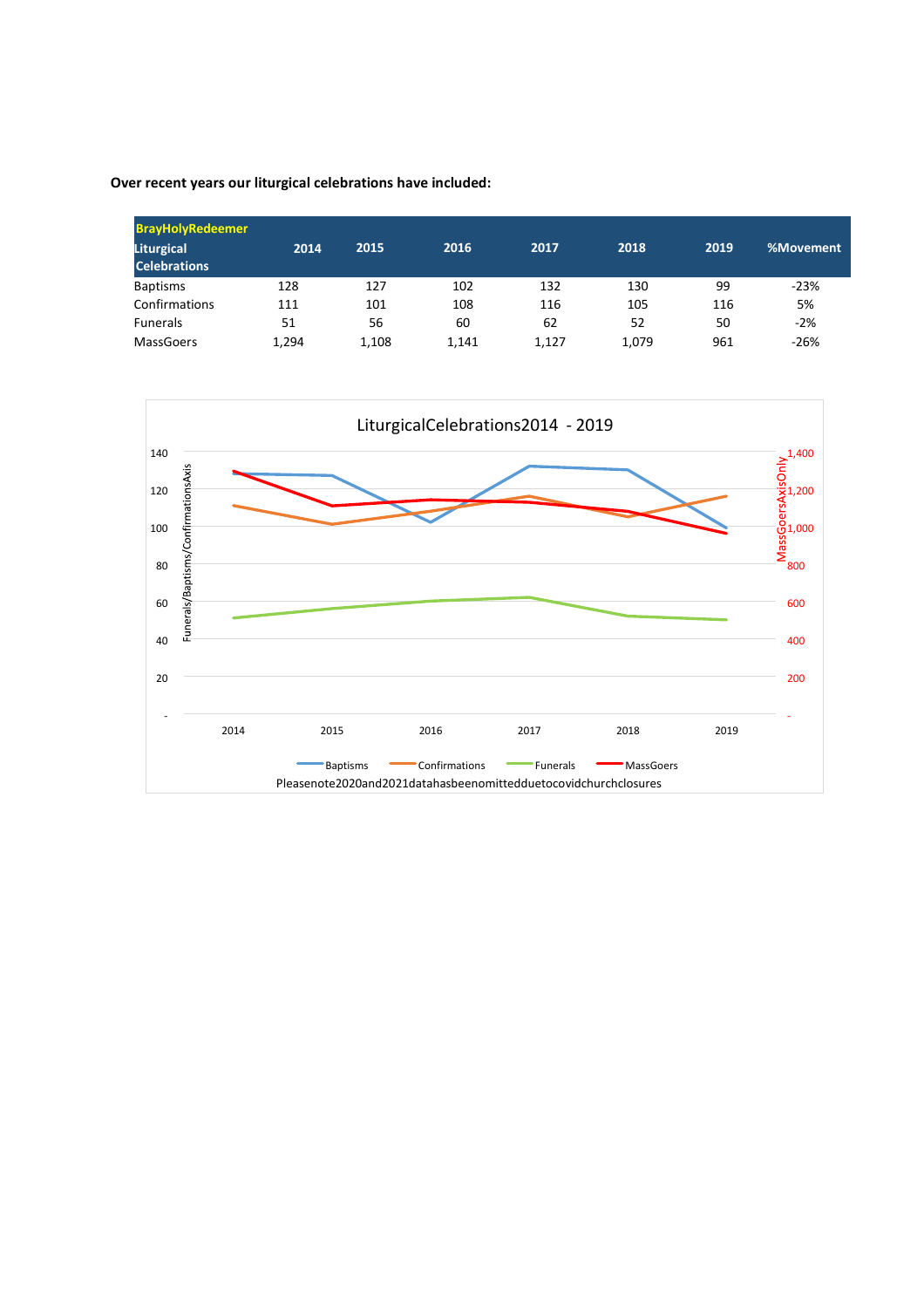**Over recent years our liturgical celebrations have included:**

| <b>BrayHolyRedeemer</b> |       |       |       |       |       |      |           |  |  |
|-------------------------|-------|-------|-------|-------|-------|------|-----------|--|--|
| Liturgical              | 2014  | 2015  | 2016  | 2017  | 2018  | 2019 | %Movement |  |  |
| <b>Celebrations</b>     |       |       |       |       |       |      |           |  |  |
| <b>Baptisms</b>         | 128   | 127   | 102   | 132   | 130   | 99   | $-23%$    |  |  |
| Confirmations           | 111   | 101   | 108   | 116   | 105   | 116  | 5%        |  |  |
| <b>Funerals</b>         | 51    | 56    | 60    | 62    | 52    | 50   | $-2%$     |  |  |
| MassGoers               | 1,294 | 1,108 | 1,141 | 1.127 | 1,079 | 961  | $-26%$    |  |  |

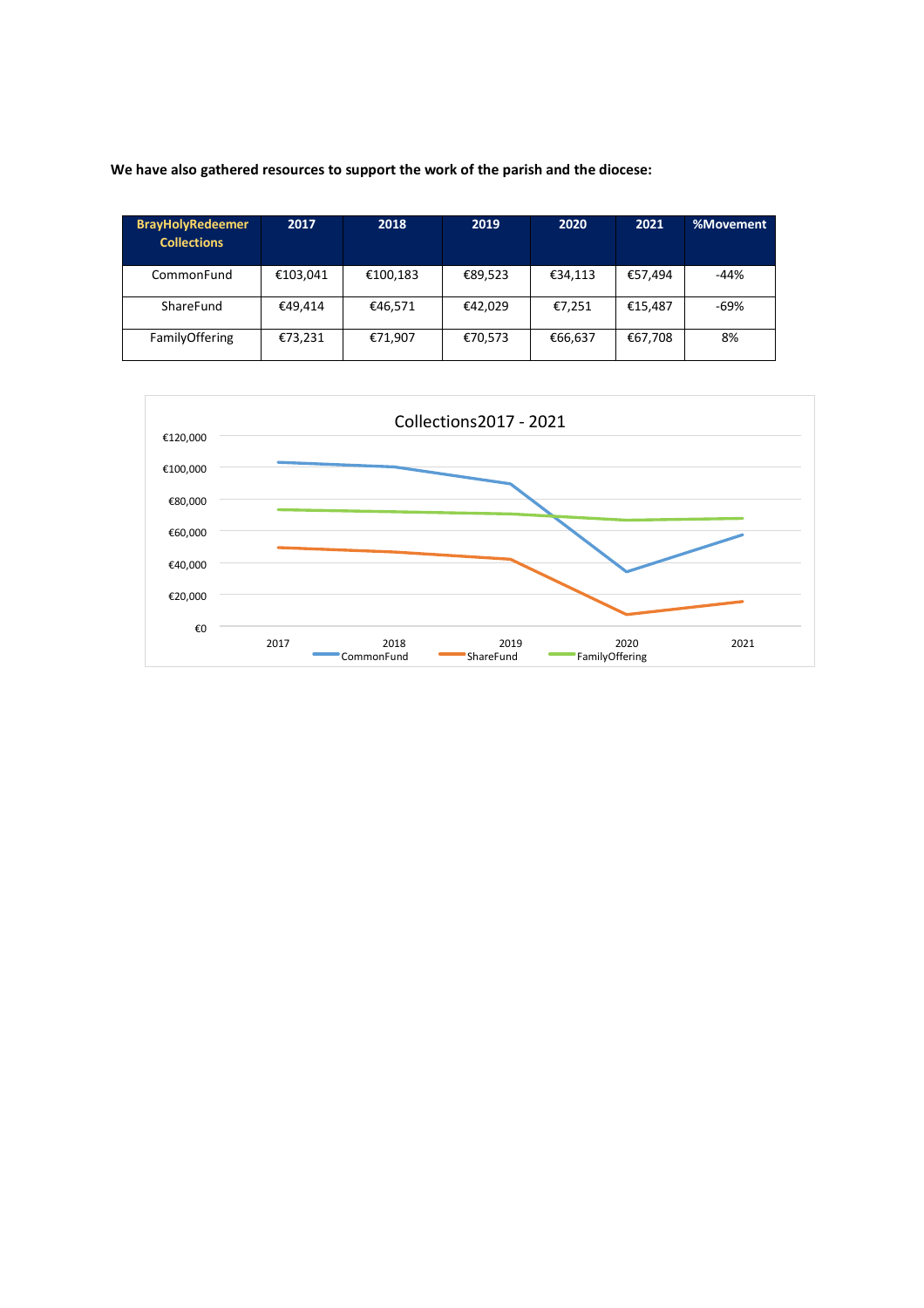**We have also gathered resources to support the work of the parish and the diocese:**

| <b>BrayHolyRedeemer</b><br><b>Collections</b> | 2017     | 2018     | 2019    | 2020    | 2021    | %Movement |
|-----------------------------------------------|----------|----------|---------|---------|---------|-----------|
| CommonFund                                    | €103,041 | €100,183 | €89,523 | €34,113 | €57,494 | $-44%$    |
| ShareFund                                     | €49.414  | €46,571  | €42,029 | €7,251  | €15,487 | -69%      |
| FamilyOffering                                | €73,231  | €71,907  | €70,573 | €66,637 | €67,708 | 8%        |